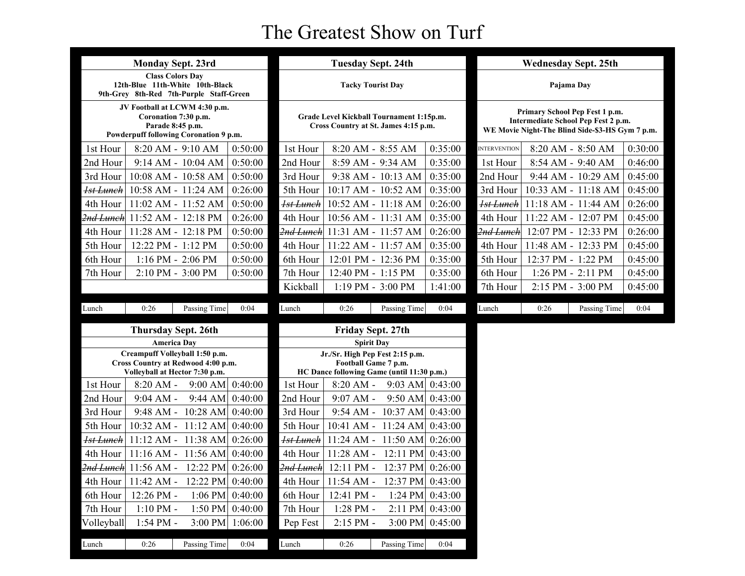## The Greatest Show on Turf

| <b>Monday Sept. 23rd</b>                                                                                            |                                         |         |                                                                                  | <b>Tuesday Sept. 24th</b>                                                                             |                     |                                                                                                                          |                      | <b>Wednesday Sept. 25th</b> |                     |         |
|---------------------------------------------------------------------------------------------------------------------|-----------------------------------------|---------|----------------------------------------------------------------------------------|-------------------------------------------------------------------------------------------------------|---------------------|--------------------------------------------------------------------------------------------------------------------------|----------------------|-----------------------------|---------------------|---------|
| <b>Class Colors Day</b><br>12th-Blue 11th-White 10th-Black<br>9th-Grey 8th-Red 7th-Purple Staff-Green               |                                         |         |                                                                                  | <b>Tacky Tourist Day</b>                                                                              |                     |                                                                                                                          | Pajama Day           |                             |                     |         |
| JV Football at LCWM 4:30 p.m.<br>Coronation 7:30 p.m.<br>Parade 8:45 p.m.<br>Powderpuff following Coronation 9 p.m. |                                         |         | Grade Level Kickball Tournament 1:15p.m.<br>Cross Country at St. James 4:15 p.m. |                                                                                                       |                     | Primary School Pep Fest 1 p.m.<br>Intermediate School Pep Fest 2 p.m.<br>WE Movie Night-The Blind Side-\$3-HS Gym 7 p.m. |                      |                             |                     |         |
| 1st Hour                                                                                                            | 8:20 AM - 9:10 AM                       | 0:50:00 | 1st Hour                                                                         | 8:20 AM - 8:55 AM                                                                                     |                     | 0:35:00                                                                                                                  | <b>INTERVENTION</b>  |                             | 8:20 AM - 8:50 AM   | 0:30:00 |
| 2nd Hour                                                                                                            | 9:14 AM - 10:04 AM                      | 0:50:00 | 2nd Hour                                                                         | 8:59 AM - 9:34 AM                                                                                     |                     | 0:35:00                                                                                                                  | 1st Hour             |                             | 8:54 AM - 9:40 AM   | 0:46:00 |
| 3rd Hour                                                                                                            | 10:08 AM - 10:58 AM                     | 0:50:00 | 3rd Hour                                                                         |                                                                                                       | 9:38 AM - 10:13 AM  | 0:35:00                                                                                                                  | 2nd Hour             |                             | 9:44 AM - 10:29 AM  | 0:45:00 |
| <b>1st Lunch</b>                                                                                                    | 10:58 AM - 11:24 AM                     | 0:26:00 | 5th Hour                                                                         | 10:17 AM - 10:52 AM                                                                                   |                     | 0:35:00                                                                                                                  | 3rd Hour             |                             | 10:33 AM - 11:18 AM | 0:45:00 |
| 4th Hour                                                                                                            | 11:02 AM - 11:52 AM                     | 0:50:00 | <del>Ist Lunch</del>                                                             | 10:52 AM - 11:18 AM                                                                                   |                     | 0:26:00                                                                                                                  | <del>1st Lunch</del> |                             | 11:18 AM - 11:44 AM | 0:26:00 |
| <del>2nd Lunch</del>                                                                                                | 11:52 AM - 12:18 PM                     | 0:26:00 | 4th Hour                                                                         | 10:56 AM - 11:31 AM                                                                                   |                     | 0:35:00                                                                                                                  | 4th Hour             |                             | 11:22 AM - 12:07 PM | 0:45:00 |
| 4th Hour                                                                                                            | 11:28 AM - 12:18 PM                     | 0:50:00 | <del>2nd Lunch</del>                                                             | 11:31 AM - 11:57 AM                                                                                   |                     | 0:26:00                                                                                                                  | <del>2nd Lunch</del> |                             | 12:07 PM - 12:33 PM | 0:26:00 |
| 5th Hour                                                                                                            | 12:22 PM - 1:12 PM                      | 0:50:00 | 4th Hour                                                                         | 11:22 AM - 11:57 AM                                                                                   |                     | 0:35:00                                                                                                                  | 4th Hour             |                             | 11:48 AM - 12:33 PM | 0:45:00 |
| 6th Hour                                                                                                            | $1:16$ PM - $2:06$ PM                   | 0:50:00 | 6th Hour                                                                         | 12:01 PM - 12:36 PM                                                                                   |                     | 0:35:00                                                                                                                  | 5th Hour             |                             | 12:37 PM - 1:22 PM  | 0:45:00 |
| 7th Hour                                                                                                            | 2:10 PM - 3:00 PM                       | 0:50:00 | 7th Hour                                                                         | 12:40 PM - 1:15 PM                                                                                    |                     | 0:35:00                                                                                                                  | 6th Hour             |                             | 1:26 PM - 2:11 PM   | 0:45:00 |
|                                                                                                                     |                                         |         | Kickball                                                                         | 1:19 PM - 3:00 PM                                                                                     |                     | 1:41:00                                                                                                                  | 7th Hour             |                             | 2:15 PM - 3:00 PM   | 0:45:00 |
| Lunch                                                                                                               | Passing Time<br>0:26                    | 0:04    | Lunch                                                                            | 0:26                                                                                                  | Passing Time        | 0:04                                                                                                                     | Lunch                | 0:26                        | Passing Time        | 0:04    |
|                                                                                                                     | <b>Thursday Sept. 26th</b>              |         |                                                                                  | Friday Sept. 27th                                                                                     |                     |                                                                                                                          |                      |                             |                     |         |
|                                                                                                                     | <b>America Day</b>                      |         |                                                                                  | <b>Spirit Day</b>                                                                                     |                     |                                                                                                                          |                      |                             |                     |         |
| Creampuff Volleyball 1:50 p.m.<br>Cross Country at Redwood 4:00 p.m.<br>Volleyball at Hector 7:30 p.m.              |                                         |         |                                                                                  | Jr./Sr. High Pep Fest 2:15 p.m.<br>Football Game 7 p.m.<br>HC Dance following Game (until 11:30 p.m.) |                     |                                                                                                                          |                      |                             |                     |         |
| 1st Hour                                                                                                            | $9:00$ AM<br>$8:20 AM -$                | 0:40:00 | 1st Hour                                                                         | $8:20 AM -$                                                                                           | $9:03$ AM $0:43:00$ |                                                                                                                          |                      |                             |                     |         |
| 2nd Hour                                                                                                            | $9:04$ AM -<br>$9:44$ AM                | 0:40:00 | 2nd Hour                                                                         | $9:07$ AM -                                                                                           | $9:50$ AM $0:43:00$ |                                                                                                                          |                      |                             |                     |         |
| 3rd Hour                                                                                                            | 9:48 AM - 10:28 AM                      | 0:40:00 | 3rd Hour                                                                         | $9:54 \, \text{AM}$ -                                                                                 | $10:37$ AM          |                                                                                                                          |                      |                             |                     |         |
| 5th Hour                                                                                                            |                                         |         |                                                                                  |                                                                                                       |                     | 0:43:00                                                                                                                  |                      |                             |                     |         |
|                                                                                                                     | $10:32$ AM - $11:12$ AM                 | 0:40:00 | 5th Hour                                                                         | 10:41 AM - 11:24 AM 0:43:00                                                                           |                     |                                                                                                                          |                      |                             |                     |         |
| <b>1st Lunch</b>                                                                                                    | $11:12$ AM - $11:38$ AM                 | 0:26:00 | <del>1st Lunch</del>                                                             | 11:24 AM - 11:50 AM                                                                                   |                     | 0:26:00                                                                                                                  |                      |                             |                     |         |
| 4th Hour                                                                                                            | $11:16$ AM - $11:56$ AM                 | 0:40:00 | 4th Hour                                                                         | $11:28$ AM -                                                                                          | $12:11$ PM          | 0:43:00                                                                                                                  |                      |                             |                     |         |
|                                                                                                                     | $2nd$ Lunch 11:56 AM - 12:22 PM 0:26:00 |         |                                                                                  | 2nd Lunch 12:11 PM - 12:37 PM 0:26:00                                                                 |                     |                                                                                                                          |                      |                             |                     |         |
| 4th Hour                                                                                                            | 11:42 AM -<br>12:22 PM                  | 0:40:00 | 4th Hour                                                                         | $11:54$ AM -                                                                                          | 12:37 PM            | 0:43:00                                                                                                                  |                      |                             |                     |         |
| 6th Hour                                                                                                            | 12:26 PM -<br>$1:06$ PM                 | 0:40:00 | 6th Hour                                                                         | 12:41 PM -                                                                                            | $1:24$ PM           | 0:43:00                                                                                                                  |                      |                             |                     |         |
| 7th Hour                                                                                                            | $1:10$ PM -<br>$1:50$ PM                | 0:40:00 | 7th Hour                                                                         | 1:28 PM -                                                                                             | 2:11 PM             | 0:43:00                                                                                                                  |                      |                             |                     |         |
| Volleyball                                                                                                          | 1:54 PM -<br>3:00 PM                    | 1:06:00 | Pep Fest                                                                         | 2:15 PM -                                                                                             | $3:00$ PM           | 0:45:00                                                                                                                  |                      |                             |                     |         |